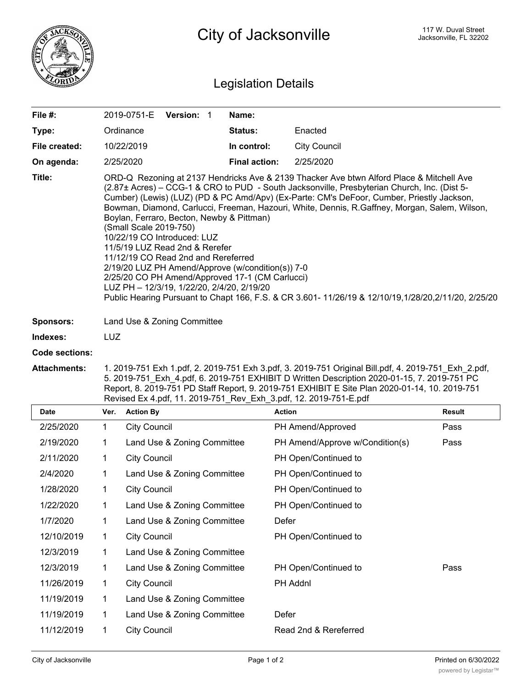

City of Jacksonville **City of Street** Jacksonville, FL 32202

## Legislation Details

| File #:               |                                                                                                                                                                                                                                                                                                                                                                                                                                                                                                                                                                                                                                                                                                                                                                                                                                   | 2019-0751-E         | Version: 1                  |  | Name:                |                                 |               |
|-----------------------|-----------------------------------------------------------------------------------------------------------------------------------------------------------------------------------------------------------------------------------------------------------------------------------------------------------------------------------------------------------------------------------------------------------------------------------------------------------------------------------------------------------------------------------------------------------------------------------------------------------------------------------------------------------------------------------------------------------------------------------------------------------------------------------------------------------------------------------|---------------------|-----------------------------|--|----------------------|---------------------------------|---------------|
| Type:                 |                                                                                                                                                                                                                                                                                                                                                                                                                                                                                                                                                                                                                                                                                                                                                                                                                                   | Ordinance           |                             |  | Status:              | Enacted                         |               |
| File created:         |                                                                                                                                                                                                                                                                                                                                                                                                                                                                                                                                                                                                                                                                                                                                                                                                                                   | 10/22/2019          |                             |  | In control:          | <b>City Council</b>             |               |
| On agenda:            |                                                                                                                                                                                                                                                                                                                                                                                                                                                                                                                                                                                                                                                                                                                                                                                                                                   | 2/25/2020           |                             |  | <b>Final action:</b> | 2/25/2020                       |               |
| Title:                | ORD-Q Rezoning at 2137 Hendricks Ave & 2139 Thacker Ave btwn Alford Place & Mitchell Ave<br>(2.87± Acres) – CCG-1 & CRO to PUD - South Jacksonville, Presbyterian Church, Inc. (Dist 5-<br>Cumber) (Lewis) (LUZ) (PD & PC Amd/Apv) (Ex-Parte: CM's DeFoor, Cumber, Priestly Jackson,<br>Bowman, Diamond, Carlucci, Freeman, Hazouri, White, Dennis, R.Gaffney, Morgan, Salem, Wilson,<br>Boylan, Ferraro, Becton, Newby & Pittman)<br>(Small Scale 2019-750)<br>10/22/19 CO Introduced: LUZ<br>11/5/19 LUZ Read 2nd & Rerefer<br>11/12/19 CO Read 2nd and Rereferred<br>2/19/20 LUZ PH Amend/Approve (w/condition(s)) 7-0<br>2/25/20 CO PH Amend/Approved 17-1 (CM Carlucci)<br>LUZ PH - 12/3/19, 1/22/20, 2/4/20, 2/19/20<br>Public Hearing Pursuant to Chapt 166, F.S. & CR 3.601- 11/26/19 & 12/10/19,1/28/20,2/11/20, 2/25/20 |                     |                             |  |                      |                                 |               |
| Sponsors:             | Land Use & Zoning Committee                                                                                                                                                                                                                                                                                                                                                                                                                                                                                                                                                                                                                                                                                                                                                                                                       |                     |                             |  |                      |                                 |               |
| Indexes:              | <b>LUZ</b>                                                                                                                                                                                                                                                                                                                                                                                                                                                                                                                                                                                                                                                                                                                                                                                                                        |                     |                             |  |                      |                                 |               |
| <b>Code sections:</b> |                                                                                                                                                                                                                                                                                                                                                                                                                                                                                                                                                                                                                                                                                                                                                                                                                                   |                     |                             |  |                      |                                 |               |
| <b>Attachments:</b>   | 1. 2019-751 Exh 1.pdf, 2. 2019-751 Exh 3.pdf, 3. 2019-751 Original Bill.pdf, 4. 2019-751 Exh 2.pdf,<br>5. 2019-751_Exh_4.pdf, 6. 2019-751 EXHIBIT D Written Description 2020-01-15, 7. 2019-751 PC<br>Report, 8. 2019-751 PD Staff Report, 9. 2019-751 EXHIBIT E Site Plan 2020-01-14, 10. 2019-751<br>Revised Ex 4.pdf, 11. 2019-751_Rev_Exh_3.pdf, 12. 2019-751-E.pdf                                                                                                                                                                                                                                                                                                                                                                                                                                                           |                     |                             |  |                      |                                 |               |
| <b>Date</b>           | Ver.                                                                                                                                                                                                                                                                                                                                                                                                                                                                                                                                                                                                                                                                                                                                                                                                                              | <b>Action By</b>    |                             |  |                      | <b>Action</b>                   | <b>Result</b> |
| 2/25/2020             | $\mathbf{1}$                                                                                                                                                                                                                                                                                                                                                                                                                                                                                                                                                                                                                                                                                                                                                                                                                      | <b>City Council</b> |                             |  |                      | PH Amend/Approved               | Pass          |
| 2/19/2020             | 1                                                                                                                                                                                                                                                                                                                                                                                                                                                                                                                                                                                                                                                                                                                                                                                                                                 |                     | Land Use & Zoning Committee |  |                      | PH Amend/Approve w/Condition(s) | Pass          |
| 2/11/2020             | 1                                                                                                                                                                                                                                                                                                                                                                                                                                                                                                                                                                                                                                                                                                                                                                                                                                 | <b>City Council</b> |                             |  |                      | PH Open/Continued to            |               |
| 2/4/2020              | 1                                                                                                                                                                                                                                                                                                                                                                                                                                                                                                                                                                                                                                                                                                                                                                                                                                 |                     | Land Use & Zoning Committee |  |                      | PH Open/Continued to            |               |
| 1/28/2020             | 1                                                                                                                                                                                                                                                                                                                                                                                                                                                                                                                                                                                                                                                                                                                                                                                                                                 | <b>City Council</b> |                             |  |                      | PH Open/Continued to            |               |
| 1/22/2020             | 1                                                                                                                                                                                                                                                                                                                                                                                                                                                                                                                                                                                                                                                                                                                                                                                                                                 |                     | Land Use & Zoning Committee |  |                      | PH Open/Continued to            |               |
| 1/7/2020              | 1                                                                                                                                                                                                                                                                                                                                                                                                                                                                                                                                                                                                                                                                                                                                                                                                                                 |                     | Land Use & Zoning Committee |  |                      | Defer                           |               |
| 12/10/2019            | 1                                                                                                                                                                                                                                                                                                                                                                                                                                                                                                                                                                                                                                                                                                                                                                                                                                 | <b>City Council</b> |                             |  |                      | PH Open/Continued to            |               |
| 12/3/2019             | 1                                                                                                                                                                                                                                                                                                                                                                                                                                                                                                                                                                                                                                                                                                                                                                                                                                 |                     | Land Use & Zoning Committee |  |                      |                                 |               |
| 12/3/2019             | 1                                                                                                                                                                                                                                                                                                                                                                                                                                                                                                                                                                                                                                                                                                                                                                                                                                 |                     | Land Use & Zoning Committee |  |                      | PH Open/Continued to            | Pass          |
| 11/26/2019            | 1                                                                                                                                                                                                                                                                                                                                                                                                                                                                                                                                                                                                                                                                                                                                                                                                                                 | <b>City Council</b> |                             |  |                      | PH Addnl                        |               |
| 11/19/2019            | 1                                                                                                                                                                                                                                                                                                                                                                                                                                                                                                                                                                                                                                                                                                                                                                                                                                 |                     | Land Use & Zoning Committee |  |                      |                                 |               |
| 11/19/2019            | 1                                                                                                                                                                                                                                                                                                                                                                                                                                                                                                                                                                                                                                                                                                                                                                                                                                 |                     | Land Use & Zoning Committee |  |                      | Defer                           |               |
| 11/12/2019            | 1                                                                                                                                                                                                                                                                                                                                                                                                                                                                                                                                                                                                                                                                                                                                                                                                                                 | <b>City Council</b> |                             |  |                      | Read 2nd & Rereferred           |               |